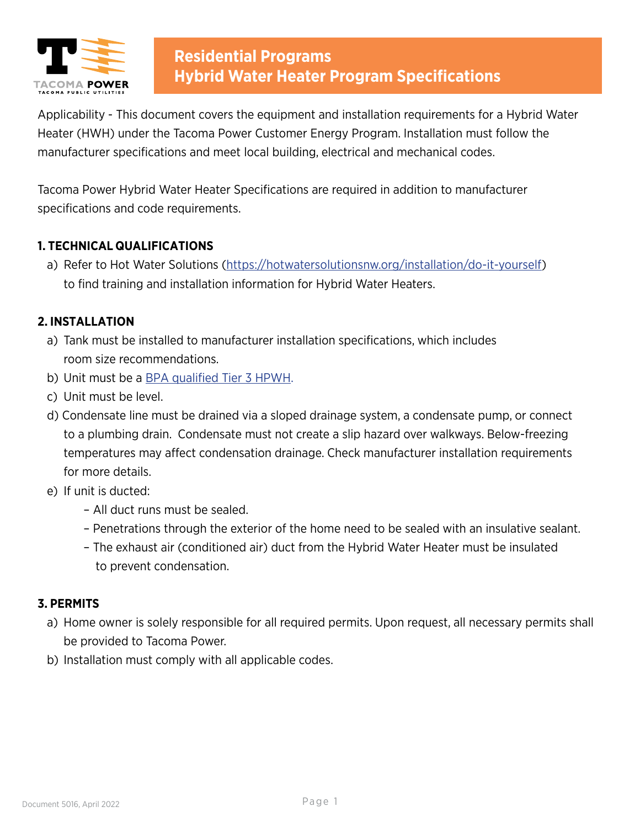

Applicability - This document covers the equipment and installation requirements for a Hybrid Water Heater (HWH) under the Tacoma Power Customer Energy Program. Installation must follow the manufacturer specifications and meet local building, electrical and mechanical codes.

Tacoma Power Hybrid Water Heater Specifications are required in addition to manufacturer specifications and code requirements.

### **1. TECHNICAL QUALIFICATIONS**

a) Refer to Hot Water Solutions (<https://hotwatersolutionsnw.org/installation/do-it-yourself>) to find training and installation information for Hybrid Water Heaters.

### **2. INSTALLATION**

- a) Tank must be installed to manufacturer installation specifications, which includes room size recommendations.
- b) Unit must be a **BPA** qualified Tier 3 HPWH.
- c) Unit must be level.
- d) Condensate line must be drained via a sloped drainage system, a condensate pump, or connect to a plumbing drain. Condensate must not create a slip hazard over walkways. Below-freezing temperatures may affect condensation drainage. Check manufacturer installation requirements for more details.
- e) If unit is ducted:
	- All duct runs must be sealed.
	- Penetrations through the exterior of the home need to be sealed with an insulative sealant.
	- The exhaust air (conditioned air) duct from the Hybrid Water Heater must be insulated to prevent condensation.

### **3. PERMITS**

- a) Home owner is solely responsible for all required permits. Upon request, all necessary permits shall be provided to Tacoma Power.
- b) Installation must comply with all applicable codes.